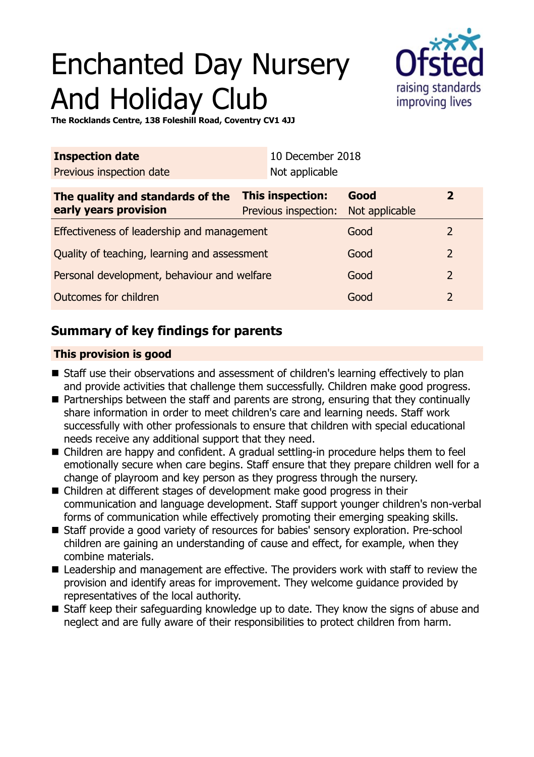# Enchanted Day Nursery And Holiday Club



**The Rocklands Centre, 138 Foleshill Road, Coventry CV1 4JJ**

| <b>Inspection date</b>                                    |                                                 | 10 December 2018 |                        |                |
|-----------------------------------------------------------|-------------------------------------------------|------------------|------------------------|----------------|
| Previous inspection date                                  |                                                 | Not applicable   |                        |                |
| The quality and standards of the<br>early years provision | <b>This inspection:</b><br>Previous inspection: |                  | Good<br>Not applicable | $\mathbf{2}$   |
| Effectiveness of leadership and management                |                                                 |                  | Good                   | $\overline{2}$ |
| Quality of teaching, learning and assessment              |                                                 |                  | Good                   | 2              |
| Personal development, behaviour and welfare               |                                                 |                  | Good                   | 2              |
| Outcomes for children                                     |                                                 |                  | Good                   | $\overline{2}$ |

## **Summary of key findings for parents**

## **This provision is good**

- Staff use their observations and assessment of children's learning effectively to plan and provide activities that challenge them successfully. Children make good progress.
- Partnerships between the staff and parents are strong, ensuring that they continually share information in order to meet children's care and learning needs. Staff work successfully with other professionals to ensure that children with special educational needs receive any additional support that they need.
- Children are happy and confident. A gradual settling-in procedure helps them to feel emotionally secure when care begins. Staff ensure that they prepare children well for a change of playroom and key person as they progress through the nursery.
- $\blacksquare$  Children at different stages of development make good progress in their communication and language development. Staff support younger children's non-verbal forms of communication while effectively promoting their emerging speaking skills.
- Staff provide a good variety of resources for babies' sensory exploration. Pre-school children are gaining an understanding of cause and effect, for example, when they combine materials.
- Leadership and management are effective. The providers work with staff to review the provision and identify areas for improvement. They welcome guidance provided by representatives of the local authority.
- Staff keep their safeguarding knowledge up to date. They know the signs of abuse and neglect and are fully aware of their responsibilities to protect children from harm.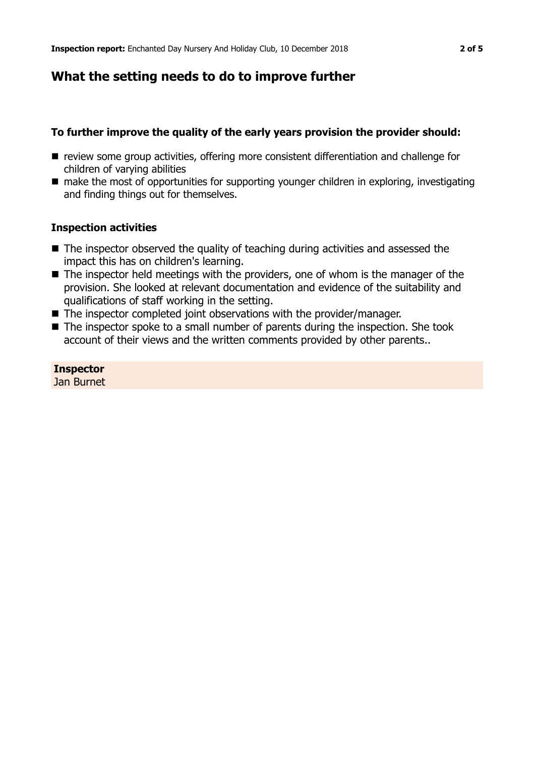## **What the setting needs to do to improve further**

## **To further improve the quality of the early years provision the provider should:**

- review some group activities, offering more consistent differentiation and challenge for children of varying abilities
- make the most of opportunities for supporting younger children in exploring, investigating and finding things out for themselves.

## **Inspection activities**

- The inspector observed the quality of teaching during activities and assessed the impact this has on children's learning.
- The inspector held meetings with the providers, one of whom is the manager of the provision. She looked at relevant documentation and evidence of the suitability and qualifications of staff working in the setting.
- $\blacksquare$  The inspector completed joint observations with the provider/manager.
- $\blacksquare$  The inspector spoke to a small number of parents during the inspection. She took account of their views and the written comments provided by other parents..

**Inspector** Jan Burnet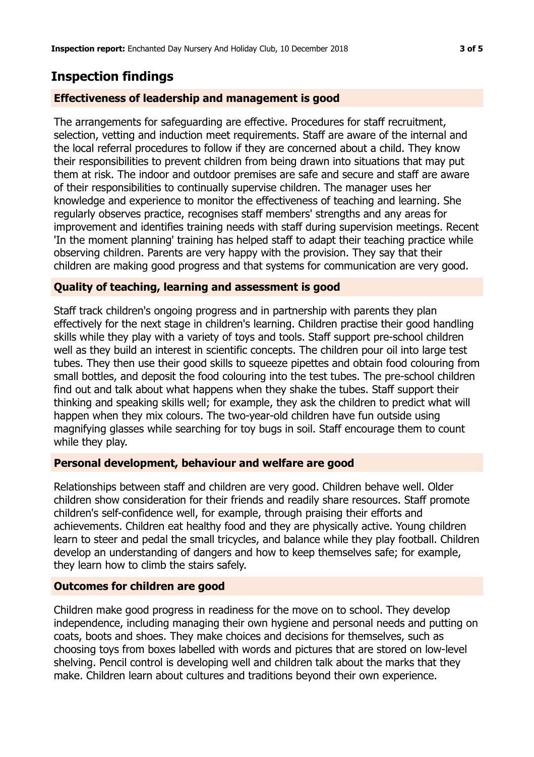## **Inspection findings**

### **Effectiveness of leadership and management is good**

The arrangements for safeguarding are effective. Procedures for staff recruitment, selection, vetting and induction meet requirements. Staff are aware of the internal and the local referral procedures to follow if they are concerned about a child. They know their responsibilities to prevent children from being drawn into situations that may put them at risk. The indoor and outdoor premises are safe and secure and staff are aware of their responsibilities to continually supervise children. The manager uses her knowledge and experience to monitor the effectiveness of teaching and learning. She regularly observes practice, recognises staff members' strengths and any areas for improvement and identifies training needs with staff during supervision meetings. Recent 'In the moment planning' training has helped staff to adapt their teaching practice while observing children. Parents are very happy with the provision. They say that their children are making good progress and that systems for communication are very good.

#### **Quality of teaching, learning and assessment is good**

Staff track children's ongoing progress and in partnership with parents they plan effectively for the next stage in children's learning. Children practise their good handling skills while they play with a variety of toys and tools. Staff support pre-school children well as they build an interest in scientific concepts. The children pour oil into large test tubes. They then use their good skills to squeeze pipettes and obtain food colouring from small bottles, and deposit the food colouring into the test tubes. The pre-school children find out and talk about what happens when they shake the tubes. Staff support their thinking and speaking skills well; for example, they ask the children to predict what will happen when they mix colours. The two-year-old children have fun outside using magnifying glasses while searching for toy bugs in soil. Staff encourage them to count while they play.

#### **Personal development, behaviour and welfare are good**

Relationships between staff and children are very good. Children behave well. Older children show consideration for their friends and readily share resources. Staff promote children's self-confidence well, for example, through praising their efforts and achievements. Children eat healthy food and they are physically active. Young children learn to steer and pedal the small tricycles, and balance while they play football. Children develop an understanding of dangers and how to keep themselves safe; for example, they learn how to climb the stairs safely.

#### **Outcomes for children are good**

Children make good progress in readiness for the move on to school. They develop independence, including managing their own hygiene and personal needs and putting on coats, boots and shoes. They make choices and decisions for themselves, such as choosing toys from boxes labelled with words and pictures that are stored on low-level shelving. Pencil control is developing well and children talk about the marks that they make. Children learn about cultures and traditions beyond their own experience.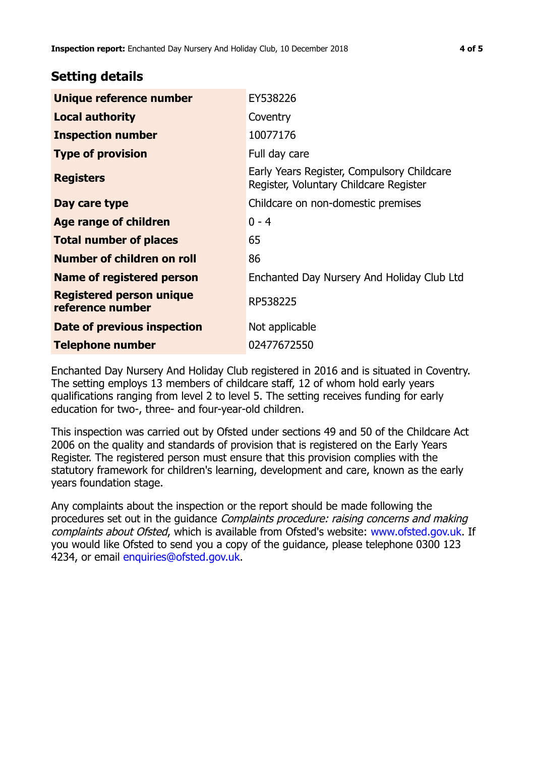## **Setting details**

| Unique reference number                             | EY538226                                                                             |  |
|-----------------------------------------------------|--------------------------------------------------------------------------------------|--|
| <b>Local authority</b>                              | Coventry                                                                             |  |
| <b>Inspection number</b>                            | 10077176                                                                             |  |
| <b>Type of provision</b>                            | Full day care                                                                        |  |
| <b>Registers</b>                                    | Early Years Register, Compulsory Childcare<br>Register, Voluntary Childcare Register |  |
| Day care type                                       | Childcare on non-domestic premises                                                   |  |
| Age range of children                               | $0 - 4$                                                                              |  |
| <b>Total number of places</b>                       | 65                                                                                   |  |
| Number of children on roll                          | 86                                                                                   |  |
| Name of registered person                           | Enchanted Day Nursery And Holiday Club Ltd                                           |  |
| <b>Registered person unique</b><br>reference number | RP538225                                                                             |  |
| Date of previous inspection                         | Not applicable                                                                       |  |
| <b>Telephone number</b>                             | 02477672550                                                                          |  |

Enchanted Day Nursery And Holiday Club registered in 2016 and is situated in Coventry. The setting employs 13 members of childcare staff, 12 of whom hold early years qualifications ranging from level 2 to level 5. The setting receives funding for early education for two-, three- and four-year-old children.

This inspection was carried out by Ofsted under sections 49 and 50 of the Childcare Act 2006 on the quality and standards of provision that is registered on the Early Years Register. The registered person must ensure that this provision complies with the statutory framework for children's learning, development and care, known as the early years foundation stage.

Any complaints about the inspection or the report should be made following the procedures set out in the quidance *Complaints procedure: raising concerns and making* complaints about Ofsted, which is available from Ofsted's website: www.ofsted.gov.uk. If you would like Ofsted to send you a copy of the guidance, please telephone 0300 123 4234, or email [enquiries@ofsted.gov.uk.](mailto:enquiries@ofsted.gov.uk)